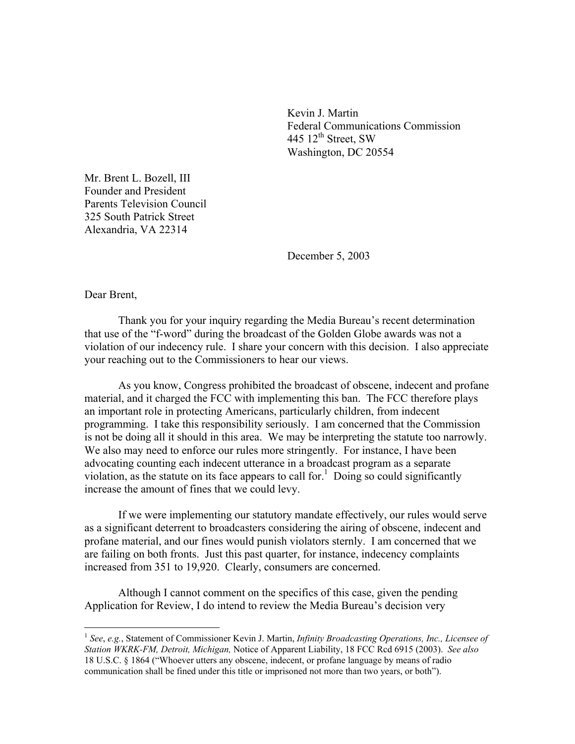Kevin J. Martin Federal Communications Commission 445  $12<sup>th</sup>$  Street, SW Washington, DC 20554

Mr. Brent L. Bozell, III Founder and President Parents Television Council 325 South Patrick Street Alexandria, VA 22314

December 5, 2003

Dear Brent,

 $\overline{a}$ 

Thank you for your inquiry regarding the Media Bureau's recent determination that use of the "f-word" during the broadcast of the Golden Globe awards was not a violation of our indecency rule. I share your concern with this decision. I also appreciate your reaching out to the Commissioners to hear our views.

As you know, Congress prohibited the broadcast of obscene, indecent and profane material, and it charged the FCC with implementing this ban. The FCC therefore plays an important role in protecting Americans, particularly children, from indecent programming. I take this responsibility seriously. I am concerned that the Commission is not be doing all it should in this area. We may be interpreting the statute too narrowly. We also may need to enforce our rules more stringently. For instance, I have been advocating counting each indecent utterance in a broadcast program as a separate violation, as the statute on its face appears to call for.<sup>1</sup> Doing so could significantly increase the amount of fines that we could levy.

If we were implementing our statutory mandate effectively, our rules would serve as a significant deterrent to broadcasters considering the airing of obscene, indecent and profane material, and our fines would punish violators sternly. I am concerned that we are failing on both fronts. Just this past quarter, for instance, indecency complaints increased from 351 to 19,920. Clearly, consumers are concerned.

Although I cannot comment on the specifics of this case, given the pending Application for Review, I do intend to review the Media Bureau's decision very

<sup>1</sup> *See*, *e.g.*, Statement of Commissioner Kevin J. Martin, *Infinity Broadcasting Operations, Inc., Licensee of Station WKRK-FM, Detroit, Michigan,* Notice of Apparent Liability, 18 FCC Rcd 6915 (2003). *See also* 18 U.S.C. § 1864 ("Whoever utters any obscene, indecent, or profane language by means of radio communication shall be fined under this title or imprisoned not more than two years, or both").